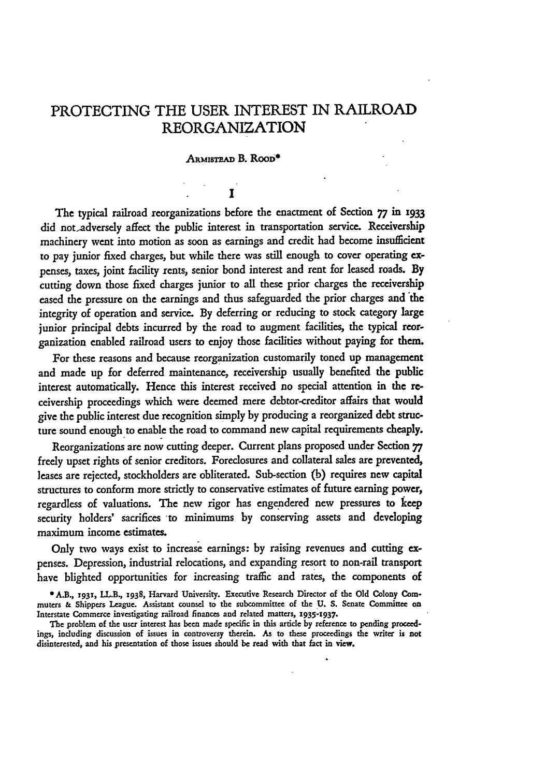# PROTECTING THE USER INTEREST IN RAILROAD REORGANIZATION

### **ARMIBTEAD** B. **RooD\***

# I

The typical railroad reorganizations before the enactment of Section *77* in I933 did not adversely affect the public interest in transportation service. Receivership machinery went into motion as soon as earnings and credit had become insufficient to pay junior fixed charges, but while there was still enough to cover operating expenses, taxes, joint facility rents, senior bond interest and rent for leased roads. By cutting down those fixed charges junior to all these prior charges the receivership eased the pressure on the earnings and thus safeguarded the prior charges and the integrity of operation and service. **By** deferring or reducing to stock category large junior principal debts incurred by the road to augment facilities, the typical reorganization enabled railroad users to enjoy those facilities without paying for them.

For these reasons and because reorganization customarily toned up management and made up for deferred maintenance, receivership usually benefited the public interest automatically. Hence this interest received no special attention in the receivership proceedings which were deemed mere debtor-creditor affairs that would give the public interest due recognition simply by producing a reorganized debt structure sound enough to enable the road to command new capital requirements cheaply.

Reorganizations are now cutting deeper. Current plans proposed under Section *77* freely upset rights of senior creditors. Foreclosures and collateral sales are prevented, leases are rejected, stockholders are obliterated. Sub-section (b) requires new capital structures to conform more strictly to conservative estimates of future earning power, regardless of valuations. The new rigor has engendered new pressures to keep security holders' sacrifices to minimums by conserving assets and developing maximum income estimates.

Only two ways exist to increase earnings: **by** raising revenues and cutting expenses. Depression, industrial relocations, and expanding resort to non-rail transport have blighted opportunities for increasing traffic and rates, the components of

<sup>\*</sup>A.B., **1931, LL.B., 1938,** Harvard University. Executive Research Director of the **Old** Colony **Com**muters **&** Shippers League. Assistant counsel to the subcommittee of the **U. S.** Senate Committee on Interstate Commerce investigating railroad finances and related matters, **1935-1937.**

**The** problem of the user interest has been made specific in this article **by** reference to pending proceedings, including discussion of issues in controversy therein. As to these proceedings the writer is not disinterested, and his presentation of those issues should **be** read with that fact in **view.**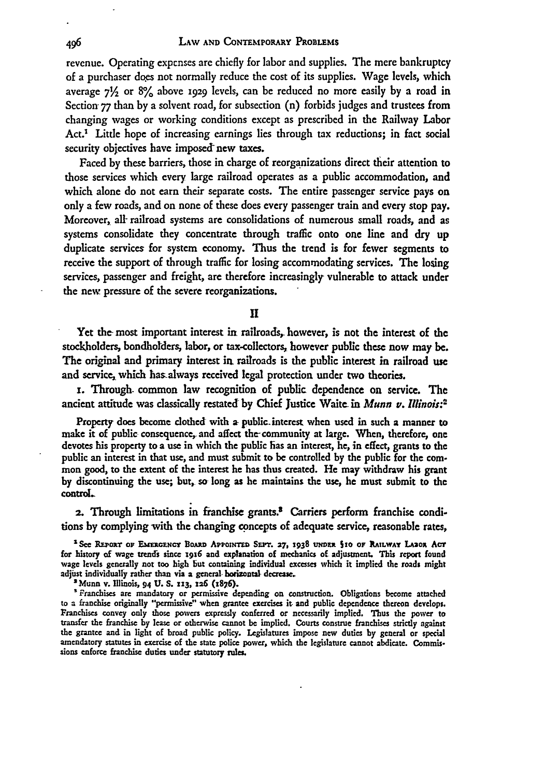revenue. Operating expenses arc chicfly for labor and supplies. The mere bankruptcy of a purchaser does not normally reduce the cost of its supplies. Wage levels, which average  $7\frac{1}{2}$  or  $8\frac{1}{6}$  above 1929 levels, can be reduced no more easily by a road in Section **77** than by a solvent road, for subsection (n) forbids judges and trustees from changing wages or working conditions except as prescribed in the Railway Labor Act.' Little hope of increasing earnings lies through tax reductions; in fact social security objectives have imposed new taxes.

Faced by these barriers, those in charge of reorganizations direct their attention to those services which every large railroad operates as a public accommodation, and which alone do not earn their separate costs. The entire passenger service pays on only a few roads, and on none of these does every passenger train and every stop pay. Moreover, **all** railroad systems are consolidations of numerous small roads, and as systems consolidate they concentrate through traffic onto one line and dry up duplicate services for system economy. Thus the trend is for fewer segments to receive the support of through traffic for losing accommodating services. The losing services, passenger and freight, are therefore increasingly vulnerable to attack under the new pressure of the severe reorganizations.

II

Yet the- most important interest in railroads, however, is not the interest of the stockholders, bondholders, labor, or tax-collectors, however public these now may be. The original and primary interest in. railroads is the public interest in railroad use and service, which has.always received legal protection under two theories.

x. Through- common law recognition of public dependence on service. The ancient attitude was classically restated **by** Chief Justice Waite- in Munn *v. llinois:2*

Property does become clothed with a public.interest when used in such a manner to make it of public consequence. and affect the-community at large. When, therefore, one devotes his property to a use in which the public has an interest, he, in effect, grants to the public an interest in that use, and must submit to **be** controlled **by** the public for the common good, to the extent of the interest he has thus created. He may withdraw his grant **by** discontinuing the use; but, so long as he maintains the use, he must submit to the control..

2. Through limitations in franchise grants.' Carriers perform franchise conditions by complying with the changing concepts of adequate service, reasonable rates,

**'Munn v.** Illinois, **94 U. S. 113, 126 (1876).**

**"** Franchises **are** mandatory or permissive depending on construction. Obligations become attached to a franchise originally "permissive" when grantee exercises it. and public dependence thereon develops. Franchises convey only those powers expressly conferred or necessarily implied. Thus the power to transfer the franchise **by** lease or otherwise cannot **be** implied. Courts construe franchises strictly against the grantee and in light of broad public policy. Legislatures impose new duties **by** general or special amendatory statutes in exercise of the state police power, which the legislature cannot abdicate. Commissions enforce franchise duties under statutory rules.

<sup>&</sup>lt;sup>1</sup> See REPORT OF EMERGENCY BOARD APPOINTED SEPT. 27, 1938 UNDER \$10 OF RAILWAY LABOR ACT for history **of** wage **trenrs** since x916 and **explanation of mechanics** *of-* adjustment. This report found wage levels generally not too high but containing individual excesses which it implied the roads might adjust individually rather than via a general horizontal decrease.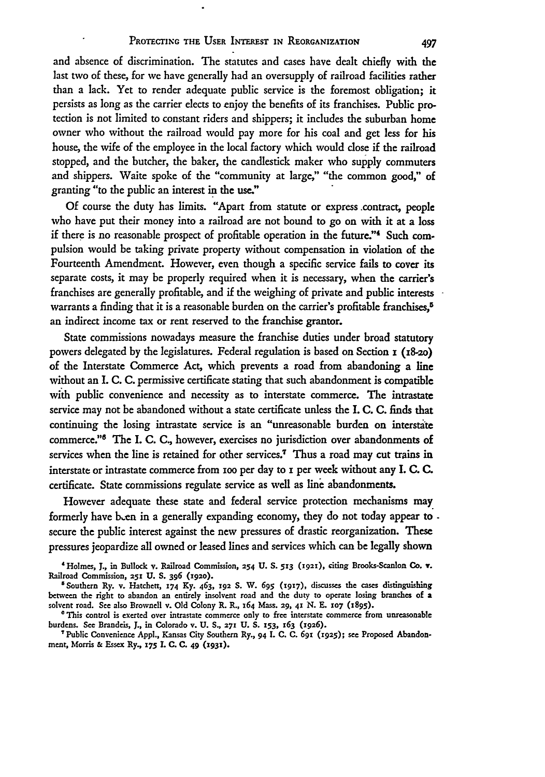and absence of discrimination. The statutes and cases have dealt chiefly with the last two of these, for we have generally had an oversupply of railroad facilities rather than a lack. Yet to render adequate public service is the foremost obligation; it persists as long as the carrier elects to enjoy the benefits of its franchises. Public protection is not limited to constant riders and shippers; it includes the suburban home owner who without the railroad would pay more for his coal and get less for his house, the wife of the employee in the local factory which would close if the railroad stopped, and the butcher, the baker, the candlestick maker who supply commuters and shippers. Waite spoke of the "community at large," "the common good," of granting "to the public an interest in the use."

**Of** course the duty has limits. "Apart from statute or express .contract, people who have put their money into a railroad are not bound to go on with it at a loss if there is no reasonable prospect of profitable operation in the future." $4$  Such compulsion would be taking private property without compensation in violation of the Fourteenth Amendment. However, even though a specific service fails to cover its separate costs, it may be properly required when it is necessary, when the carrier's franchises are generally profitable, and if the weighing of private and public interests warrants a finding that it is a reasonable burden on the carrier's profitable franchises.<sup>5</sup> an indirect income tax or rent reserved to the franchise grantor.

State commissions nowadays measure the franchise duties under broad statutory powers delegated **by** the legislatures. Federal regulation is based on Section **i (18-20)** of the Interstate Commerce Act, which prevents a road from abandoning a line without an I. **C. C.** permissive certificate stating that such abandonment is compatible **with** public convenience and necessity as to interstate commerce. The intrastate service may not be abandoned without a state certificate unless the **I. C. C.** finds that continuing the losing intrastate service is an "unreasonable burden on interstate commerce."<sup>6</sup> The I. C. C., however, exercises no jurisdiction over abandonments of services when the line is retained for other services.<sup>7</sup> Thus a road may cut trains in interstate or intrastate commerce from ioo per day to **i** per week without any **I. C. C.** certificate. State commissions regulate service as well as line abandonments.

However adequate these state and federal service protection mechanisms may formerly have Len in a generally expanding economy, they do not today appear to  secure the public interest against the new pressures of drastic reorganization. These pressures jeopardize all owned or leased lines and services which can **be** legally shown

<sup>&</sup>quot;Holmes, **J.,** in Bullock **v.** Railroad Commission, **254 U. S.** *513* **(1921),** citing Brooks-Scanlon **Co.** *v.* Railroad Commission, **251 U. S. 396 (1920).**

**s** Southern Ry. v. Hatchett, **174** Ky. 463, **192 S. W. 695 (1917),** discusses the cases distinguishing between the right to abandon an entirely insolvent road and the duty to operate losing branches of **a** solvent road. **See** also Brownell v. **Old** Colony R. R., 164 Mass. **29, 41 N. E. 107 (1895).**

**<sup>&#</sup>x27;** This control is exerted over intrastate commerce only to free interstate commerce from unreasonable burdens. See Brandeis, **J.,** in Colorado v. **U. S., 271 U. S.** *x53, r63* **(1926).** <sup>T</sup> Public Convenience **Appl.,** Kansas City Southern Ry., 94 **1. C. C. 69s (1925);** see Proposed Abandon-

ment, Morris **&** Essex Ry., **x75 L C. C.** 49 **(1931)-**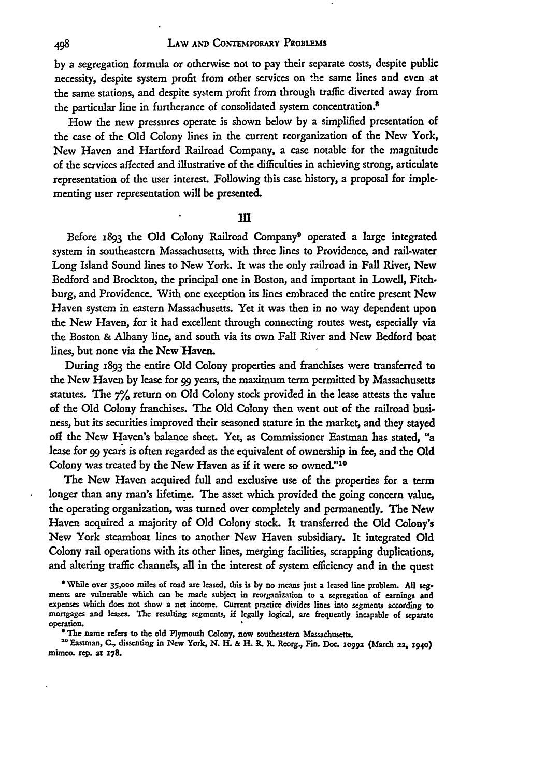by a segregation formula or otherwise not to pay their separate costs, despite public necessity, despite system profit from other services on the same lines and even at the same stations, and despite system profit from through traffic diverted away from the particular line in furtherance of consolidated system concentration.<sup>8</sup>

How the new pressures operate is shown below by a simplified presentation of the case of the **Old** Colony lines in the current reorganization of the New York, New Haven and Hartford Railroad Company, a case notable for the magnitude of the services affected and illustrative of the difficulties in achieving strong, articulate representation of the user interest. Following this case history, a proposal for implementing user representation will be presented.

#### **TII**

Before 1893 the Old Colony Railroad Company<sup>9</sup> operated a large integrated system in southeastern Massachusetts, with three lines to Providence, and rail-water Long Island Sound lines to New York. It was the only railroad in Fall River, New Bedford and Brockton, the principal one in Boston, and important in Lowell, Fitchburg, and Providence. With one exception its lines embraced the entire present New Haven system in eastern Massachusetts. Yet it was then in no way dependent upon the New Haven, for it had excellent through connecting routes west, especially via the Boston & Albany line, and south via its own Fall River and New Bedford boat lines, but none via the New Haven.

During i893 the entire **Old** Colony properties and franchises were transferred to the New Haven **by** lease for **99** years, the maximum term permitted **by** Massachusetts statutes. The  $7\%$  return on Old Colony stock provided in the lease attests the value of the **Old** Colony franchises. The **Old** Colony then went out of the railroad business, but its securities improved their seasoned stature in the market, and they stayed off the New Haven's balance sheet. Yet, as Commissioner Eastman has stated, "a lease for *99* years is often regarded as the equivalent of ownership in **fee,** and the **Old** Colony was treated by the New Haven as if it were so owned."<sup>10</sup>

The New Haven acquired full and exclusive use of the properties for a term longer than any man's lifetime. The asset which provided the going concern value, the operating organization, was turned over completely and permanently. **The** New Haven acquired a majority of **Old** Colony stock. It transferred the Old Colony's New York steamboat lines to another New Haven subsidiary. It integrated **Old** Colony rail operations with its other lines, merging facilities, scrapping duplications, and altering traffic channels, all in the interest of system efficiency and in the quest

**a'** Eastman, **C.,** dissenting in New York, **N.** H. **&** H. **P.** R. Reorg., Fin. **Doc. 10992** (March **22, 1940)** mimeo. rep. at **x78.**

**S** While over **35,000** miles of **road** are leased, this is **by** no means just a leased line problem. **All** segments are vulnerable which can **be** made subject in reorganization to a segregation of earnings and expenses which does not show a net income. Current practice divides lines into segments according **to** mortgages and leases. **The** resulting segments, if legally logical, are frequently incapable of separate operation.

<sup>&</sup>quot;The name refers to the old Plymouth Colony, now southeastern Massachusetts.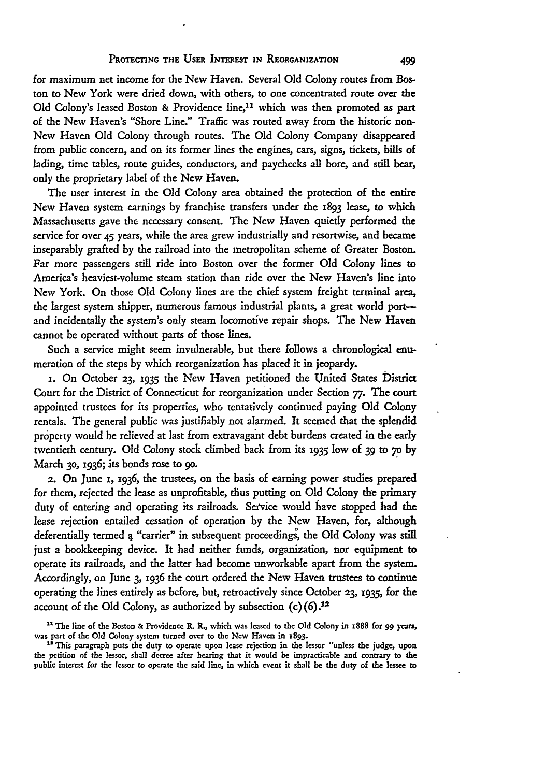for maximum net income for the New Haven. Several Old Colony routes from Boston to New York were dried down, with others, to one concentrated route over the Old Colony's leased Boston & Providence line, $11$  which was then promoted as part of the New Haven's "Shore Line." Traffic was routed away from the historic non-New Haven Old Colony through routes. The Old Colony Company disappeared from public concern, and on its former lines the engines, cars, signs, tickets, bills of lading, time tables, route guides, conductors, and paychecks all bore, and still bear, only the proprietary label of the New Haven.

The user interest in the Old Colony area obtained the protection of the entire New Haven system earnings by franchise transfers under the 1893 lease, to which Massachusetts gave the necessary consent. The New Haven quietly performed the service for over 45 years, while the area grew industrially and resortwise, and became inseparably grafted by the railroad into the metropolitan scheme of Greater Boston. Far more passengers still ride into Boston over the former Old Colony lines to America's heaviest-volume steam station than ride over the New Haven's line into New York. On those Old Colony lines are the chief system freight terminal area, the largest system shipper, numerous famous industrial plants, a great world portand incidentally the system's only steam locomotive repair shops. The New Haven cannot be operated without parts of those lines.

Such a service might seem invulnerable, but there follows a chronological enumeration of the steps by which reorganization has placed it in jeopardy.

I. On October **23,** 1935 the New Haven petitioned the United States District Court for the District of Connecticut for reorganization under Section **77.** The court appointed trustees for its properties, who tentatively continued paying Old Colony rentals. The general public was justifiably not alarmed. It seemed that the splendid property would be relieved at last from extravagant debt burdens created in the early twentieth century. Old Colony stock climbed back from its 1935 low of 39 to 7o by March **30,** 1936; its bonds rose to **90.**

2. On June x, 1936, the trustees, on the basis of earning power studies prepared for them, rejected the lease as unprofitable, thus putting on Old Colony the primary duty of entering and operating its railroads. Service would have stopped had the lease rejection entailed cessation of operation by the New Haven, for, although deferentially termed 4 "carrier" in subsequent proceedings, the Old Colony was still just a bookkeeping device. It had neither funds, organization, nor equipment to operate its railroads, and the latter had become unworkable apart from the system. Accordingly, on June 3, 1936 the court ordered the New Haven trustees to continue operating the lines entirely as before, but, retroactively since October **23,** 1935, for the account of the Old Colony, as authorized by subsection (c) **(6) . <sup>2</sup>**

<sup>&</sup>lt;sup>21</sup> The line of the Boston & Providence R. R., which was leased to the Old Colony in 1888 for 99 years, was part of the **Old** Colony system turned over to the New Haven in 1893.

<sup>&</sup>lt;sup>13</sup> This paragraph puts the duty to operate upon lease rejection in the lessor "unless the judge, upon the petition of the lessor, shall decree after hearing that it would **be** impracticable and contrary to the public interest for the lessor to operate the said line, in which event it shall be the duty of the lessee to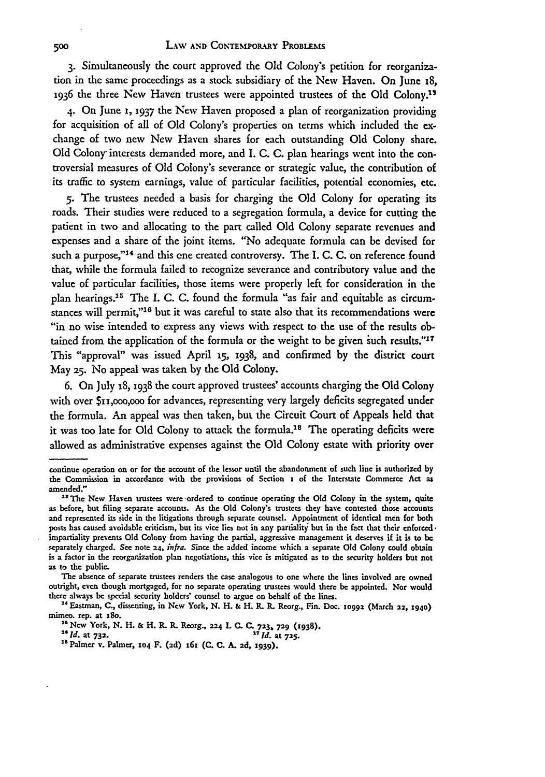**3-** Simultaneously the court approved the Old Colony's petition for reorganization in the same proceedings as a stock subsidiary of the New Haven. On June **18,** 1936 the three New Haven trustees were appointed trustees of the Old Colony."

4. On June **i, 1937** the New Haven proposed a plan of reorganization providing for acquisition of all of Old Colony's properties on terms which included the exchange of two new New Haven shares for each outstanding Old Colony share. Old Colony- interests demanded more, and **1.** C. C. plan hearings went into the controversial measures of Old Colony's severance or strategic value, the contribution of its traffic to system earnings, value of particular facilities, potential economies, etc.

*5.* The trustees needed a basis for charging the Old Colony for operating its roads. Their studies were reduced to a segregation formula, a device for cutting the patient in two and allocating to the part called Old Colony separate revenues and expenses and a share of the joint items. "No adequate formula can be devised for such a purpose,"14 and this one created controversy. The I. C. C. on reference found that, while the formula failed to recognize severance and contributory value and the value of particular facilities, those items were properly left for consideration in the plan hearings." The I. C. C. found the formula "as fair and equitable as circumstances will permit,"<sup>16</sup> but it was careful to state also that its recommendations were "in no wise intended to express any views with respect to the use of the results obtained from the application of the formula or the weight to be given such results." $17$ This "approval" was issued April 15, 1938, and confirmed by the district court May **25.** No appeal was taken by the Old Colony.

6. On July **i8,** 1938 the court approved trustees' accounts charging the Old Colony with over  $$11,000,000$  for advances, representing very largely deficits segregated under the formula. An appeal was then taken, but the Circuit Court of Appeals held that it was too late for Old Colony to attack the formula.<sup>18</sup> The operating deficits were allowed as administrative expenses against the **Old** Colony estate with priority over

continue operation on or for the account of the lessor until the abandonment of such line is authorized **by** the Commission in accordance with the provisions of Section **i** of the Interstate Commerce Act as amended."

<sup>&</sup>lt;sup>18</sup> The New Haven trustees were ordered to continue operating the Old Colony in the system, quite as before, but filing separate accounts. As the Old Colony's trustees they have contested those accounts and represented its side in the litigations through separate counsel. Appointment of identical men for both posts has caused avoidable criticism, but its vice lies not in any partiality but in the fact that their enforced. impartiality prevents Old Colony from having the partial, aggressive management it deserves if it is to be separately charged. **See** note **24,** *infra.* Since the added income which a separate **Old** Colony could obtain is a factor in the reorganization plan negotiations, this vice is mitigated as to the security holders but not as to the public.

The absence of separate trustees renders the case analogous to one where the lines involved are owned outright, even though mortgaged, for no separate operating trustees would there be appointed. Nor would there always be special security holders' counsel to argue on behalf of the lines.

**<sup>&</sup>quot;** Eastman, **C.,** dissenting, in New York, N. H. **&** H. R. It Reorg., Fin. Doc. **10992** (March a2, **x940)** mimeo. rep. at x8o.

Ir **New** York, **N.** H. **&** H. **R. I,.** Rcorg., **224 . C. C. 723. 729 (1938).** *<sup>1</sup> 1d.* at **732.** *" Id.* at **725.**

*<sup>:&#</sup>x27;* Palmer v. Palmer, **104** F. **(2d) 16r (C. C. A. 2d, x939).**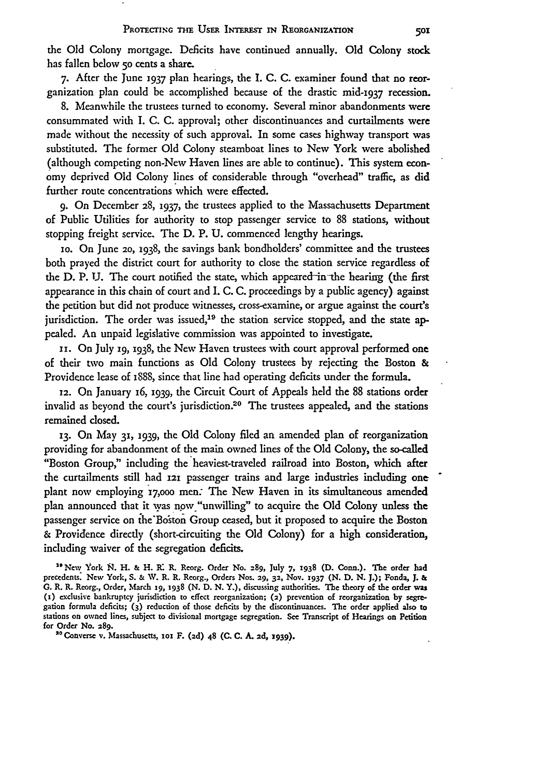the Old Colony mortgage. Deficits have continued annually. **Old** Colony stock has fallen below **50** cents a share.

7. After the June **1937** plan hearings, the **I.** C. C. examiner found that no reorganization plan could be accomplished because of the drastic mid-1937 recession.

8. Meanwhile the trustees turned to economy. Several minor abandonments were consummated with I. C. C. approval; other discontinuances and curtailments were made without the necessity of such approval. In some cases highway transport was substituted. The former Old Colony steamboat lines to New York were abolished (although competing non-New Haven lines are able to continue). This system economy deprived Old Colony lines of considerable through "overhead" traffic, as did further route concentrations which were effected.

9. On December 28, 1937, the trustees applied to the Massachusetts Department of Public Utilities for authority to stop passenger service to 88 stations, without stopping freight service. The D. P. **U.** commenced lengthy hearings.

io. On June 2o, 1938, the savings bank bondholders' committee and the trustees both prayed the district court for authority to close the station service regardless of the D. P. **U.** The court notified the state, which appeared-in the hearing (the first appearance in this chain of court and I. C. C. proceedings by a public agency) against the petition but did not produce witnesses, cross-examine, or argue against the court's jurisdiction. The order was issued,<sup>19</sup> the station service stopped, and the state appealed. An unpaid legislative commission was appointed to investigate.

11. On July 19, 1938, the New Haven trustees with court approval performed one of their two main functions as **Old** Colony trustees by rejecting the Boston & Providence lease of **I88,** since that line had operating deficits under the formula.

12. On January 16, 1939, the Circuit Court of Appeals held the 88 stations order invalid as beyond the court's jurisdiction.<sup>20</sup> The trustees appealed, and the stations remained dosed.

**13.** On May **31,** 1939, the **Old** Colony **filed** an amended plan of reorganization providing for abandonment of the main owned lines of the **Old** Colony, the so-called "Boston Group," including the heaviest-traveled railroad into Boston, which after the curtailments still had **121** passenger trains and large industries including one plant now employing i7,ooo men: The New Haven in its simultaneous amended plan announced that it was npw."unwilling" to acquire the **Old** Colony unless the passenger service on the'Boston Group ceased, but it proposed to acquire the Boston & Providence directly (short-circuiting the **Old** Colony) for a high consideration, including waiver of the segregation deficits.

**"** New York R. H. **& H.** R7 R. Reorg. Order No. z89, July **7, 1938 (D.** Conn.). The order had precedents: New York, S. **&** *NV.* R. R. Reorg., Orders Nos. **29, 32,** Nov. **1937 (N. D. N.** J.); Fonda, **J. &** G. R. R. Reorg., Order, March **19, 1938** (N. D. N. Y.), discussing authorities. The theory of the order was (s) exclusive bankruptcy jurisdiction to effect reorganization; (2) prevention of reorganization **by** segregation formula deficits; **(3)** reduction of those deficits **by** the discontinuances. The order applied also to stations on owned lines, subject to divisional mortgage segregation. See Transcript of Hearings on Petition for Order **No. 289.**

<sup>20</sup> Converse v. Massachusetts, 101 F. (2d) 48 (C. C. A. 2d, 1939).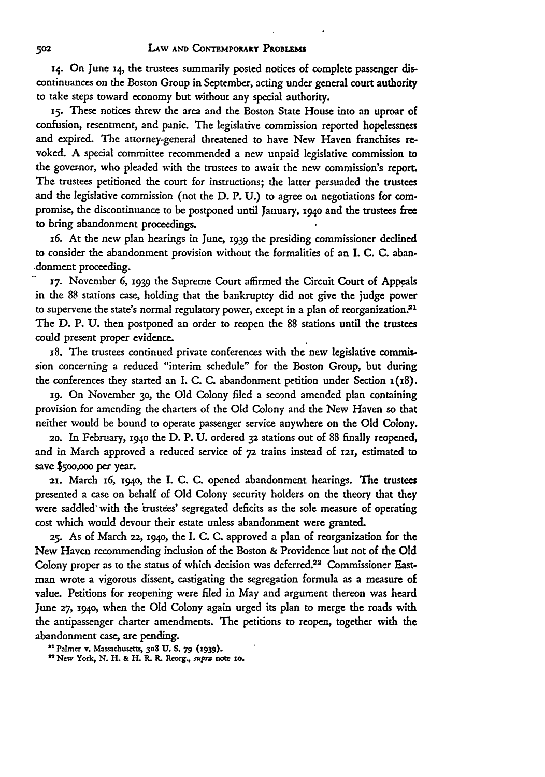**14.** On June **14,** the trustees summarily posted notices of complete passenger discontinuances on the Boston Group in September, acting under general court authority to take steps toward economy but without any special authority.

15. These notices threw the area and the Boston State House into an uproar of confusion, resentment, and panic. The legislative commission reported hopelessness and expired. The attorney-general threatened to have New Haven franchises **re**voked. A special committee recommended a new unpaid legislative commission to the governor, who pleaded with the trustees to await the new commission's report. The trustees petitioned the court for instructions; the latter persuaded the trustees and the legislative commission (not the **D.** P. U.) to agree on negotiations for compromise, the discontinuance to be postponed until January, x94o and the trustees free to bring abandonment proceedings.

x6. At the new plan hearings in June, **1939** the presiding commissioner declined to consider the abandonment provision without the formalities of an I. C. **C.** aban- .donment proceeding. **..** *17.* November 6, **1939** the Supreme Court affirmed the Circuit Court of Appeals

in the 88 stations case, holding that the bankruptcy did not give the judge power to supervene the state's normal regulatory power, except in a plan of reorganization.<sup>21</sup> The D. P. U. then postponed an order to reopen the 88 stations until the trustees could present proper evidence.

18. The trustees continued private conferences with the new legislative commission concerning a reduced "interim schedule" for the Boston Group, but during the conferences they started an I. C. C. abandonment petition under Section 1(18).

**19.** On November **3o,** the **Old** Colony filed a second amended plan containing provision for amending the charters of the **Old** Colony and the New Haven so that neither would be bound to operate passenger service anywhere on the **Old** Colony.

20. In February, 1940 the D. P. U. ordered  $32$  stations out of 88 finally reopened, and in March approved a reduced service of *72* trains instead of 1x, estimated **to** save \$500,000 per year.

**21.** March 16, **x94o,** the I. **C. C.** opened abandonment hearings. The trustees presented a case on behalf of **Old** Colony security holders on the theory that they were saddled with the trustees' segregated deficits as the sole measure of operating cost which would devour their estate unless abandonment were granted.

**25.** As of March 22, i94o, the **I. C. C.** approved a plan of reorganization for the New Haven recommending inclusion of the Boston & Providence but not of the **Old** Colony proper as to the status of which decision was deferred.<sup>22</sup> Commissioner Eastman wrote a vigorous dissent, castigating the segregation formula as a measure of value. Petitions for reopening were filed in May and argument thereon was heard June **27,** i94o, when the Old Colony again urged its plan to merge the roads with the antipassenger charter amendments. The petitions to reopen, together with the abandonment case, are pending.

<sup>21</sup> Palmer v. Massachusetts, 308 U. S. 79 (1939).

<sup>22</sup> New York, N. H. & H. R. R. Reorg., *supra* note 10.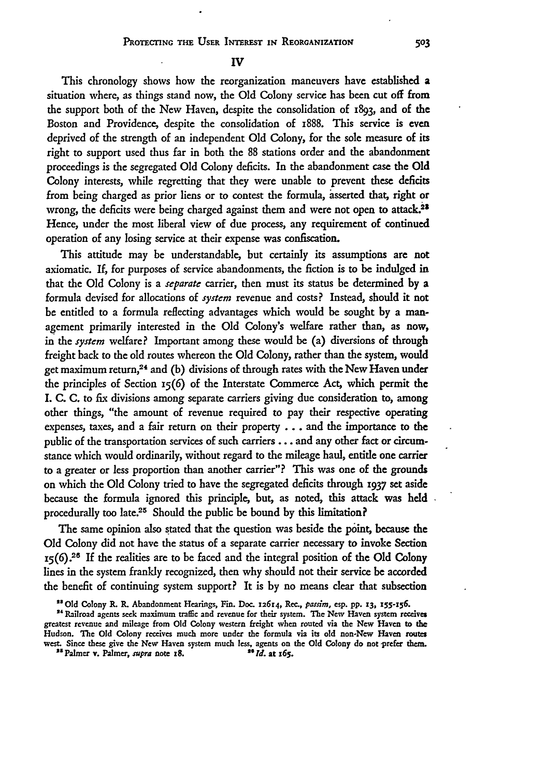This chronology shows how the reorganization maneuvers have established a situation where, as things stand now, the Old Colony service has been cut off from the support both of the New Haven, despite the consolidation of 1893, and of the Boston and Providence, despite the consolidation of 1888. This service is even deprived of the strength of an independent Old Colony, for the sole measure of its right to support used thus far in both the 88 stations order and the abandonment proceedings is the segregated Old Colony deficits. In the abandonment case the **Old** Colony interests, while regretting that they were unable to prevent these deficits from being charged as prior liens or to contest the formula, asserted that, right or wrong, the deficits were being charged against them and were not open to attack.<sup>28</sup> Hence, under the most liberal view of due process, any requirement of continued operation of any losing service at their expense was confiscation.

This attitude may be understandable, but certainly its assumptions are not axiomatic. If, for purposes of service abandonments, the fiction is to be indulged in that the Old Colony is a *separate* carrier, then must its status be determined by a formula devised for allocations of *system* revenue and costs? Instead, should it not be entitled to a formula reflecting advantages which would be sought by a management primarily interested in the Old Colony's welfare rather than, as now, in the *system* welfare? Important among these would be (a) diversions of through freight back to the old routes whereon the Old Colony, rather than the system, would get maximum return,<sup>24</sup> and (b) divisions of through rates with the New Haven under the principles of Section **15(6)** of the Interstate Commerce Act, which permit the I. C. C. to fix divisions among separate carriers giving due consideration to, among other things, "the amount of revenue required to pay their respective operating expenses, taxes, and a fair return on their property **...** and the importance to the public of the transportation services of such carriers ... and any other fact or circumstance which would ordinarily, without regard to the mileage haul, entitle one carrier to a greater or less proportion than another carrier"? This was one of the grounds on which the Old Colony tried to have the segregated deficits through **1937** set aside because the formula ignored this principle, but, as noted, this attack was held procedurally too late.25 Should the public be bound by this limitation?

The same opinion also stated that the question was beside the point, because the Old Colony did not have the status of a separate carrier necessary to invoke Section **15 (6). <sup>6</sup>**If the realities are to be faced and the integral position of the Old Colony lines in the system frankly recognized, then why should not their service be accorded the benefit of continuing system support? It is by no means clear that subsection

**<sup>&</sup>quot;Old** Colony *R.* R. Abandonment Hearings, Fin. Doe. **12614,** Rec., *passim,* esp. **pp. 13,** *155-156.*

<sup>&</sup>quot;Railroad agents seek maximum **traffic** and revenue for their system. **The** New Haven system **receives** greatest revenue and mileage from **Old** Colony western freight when routed via the New Haven to the Hudson. **The Old** Colony receives much more under the formula via its old non-New Haven routes west. Since these give the *New* Haven system much less, agents on the **Old** Colony do not prefer them. **<sup>18</sup>** Palmer v. Palmer, *supra* note 18. **<sup>18</sup>** Id. at 165.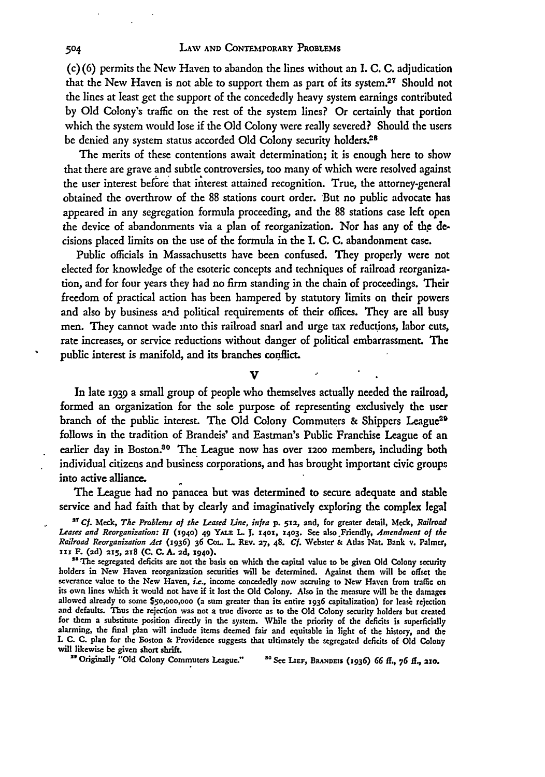(c) **(6)** permits the New Haven to abandon the lines without an **I.** C. C. adjudication that the New Haven is not able to support them as part of its system.<sup>27</sup> Should not the lines at least get the support of the concededly heavy system earnings contributed by Old Colony's traffic on the rest of the system lines? Or certainly that portion which the system would lose if the Old Colony were really severed? Should the users be denied any system status accorded Old Colony security holders.<sup>28</sup>

The merits of these contentions await determination; it is enough here to show that there are grave and subtle controversies, too many of which were resolved against the user interest before that interest attained recognition. True, the attorney-general obtained the overthrow of the 88 stations court order. But no public advocate has appeared in any segregation formula proceeding, and the 88 stations case left open the device of abandonments via a plan of reorganization. Nor has any of the **dc**cisions placed limits on the use of the formula in the I. C. C. abandonment case.

Public officials in Massachusetts have been confused. They properly were not elected for knowledge of the esoteric concepts and techniques of railroad reorganization, and for four years they had no firm standing in the chain of proceedings. Their freedom of practical action has been hampered by statutory limits on their powers and also by business and political requirements of their offices. They are all busy men. They cannot wade into this railroad snarl and urge tax reductions, labor cuts, rate increases, or service reductions without danger of political embarrassment. The public interest is manifold, and its branches conflict.

**V**

In late **1939** a small group of people who themselves actually needed the railroad, formed an organization for the sole purpose of representing exclusively the user branch of the public interest. The **Old** Colony Commuters **&** Shippers League <sup>29</sup> follows in the tradition of Brandeis' and Eastman's Public Franchise League of an earlier day in Boston.<sup>30</sup> The League now has over 1200 members, including both individual citizens and business corporations, and has brought important civic groups into active alliance.

The League had no panacea but was determined to secure adequate and stable service and had faith that **by** clearly and imaginatively exploring the complex legal

*" Cf. Meek, The Problems of the Leased Line, infra* p. **512,** and, for greater detail, Meck, *Railroad Leases and Reorganization: II* **(1940)** 49 **YALE L. J. 1401, 1403.** See also.Friendly, *Amendment of the Railroad Reorganization Aet* (1936) **36** CoL. L **REv. 27, 48.** *Cf.* Webster **&** Atlas Nat, Bank v. Palmer, **I x** F. **(2d) 215, 218 (C. C. A. 2d, 1940).**

<sup>28</sup> The segregated deficits are not the basis on which the capital value to be given Old Colony security holders in New Haven reorganization securities will be determined. Against them will be offset the severance value to the New Haven, *i.e.*, income concededly now accruing to New Haven from traffic on its own lines which i allowed already to some \$5o,ooo,ooo (a sum greater than its entire **1936** capitalization) for leash rejection and defaults. Thus the rejection was not a true divorce as to the **Old** Colony security holders but created for them a substitute position directly in the system. While the priority of the deficits is superficially alarming, the final plan will include items deemed fair and equitable in light of the history, and the **1.** C. **C.** plan for the Boston **&** Providence suggests that ultimately the segregated deficits of **Old** Colony will likewise be given short shrift.

<sup>29</sup> Originally "Old Colony Commuters League." <sup>20</sup> See LIEF, BRANDEIS (1936) 66 ff., 76 ff., 210.

504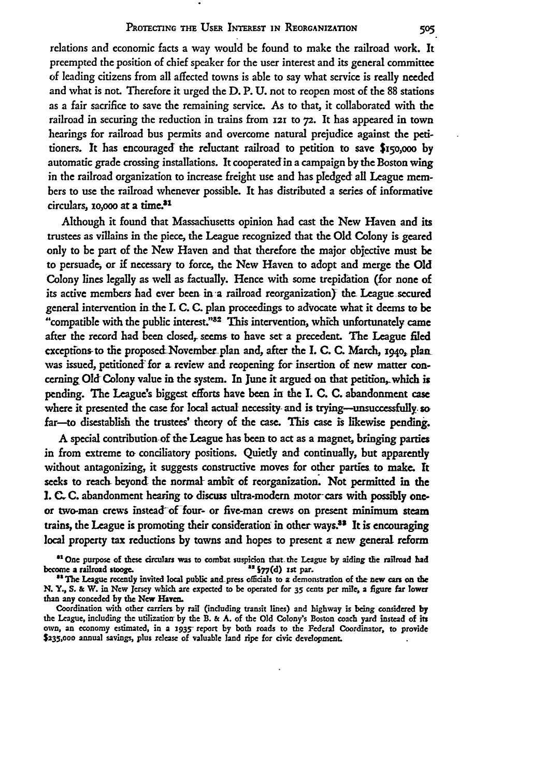relations and economic facts a way would be found to make the railroad work. It preempted the position of chief speaker for the user interest and its general committee of leading citizens from **all** affected towns is able to say what service is really needed and what is not. Therefore it urged the D. P. **U.** not to reopen most of the **88** stations as a fair sacrifice to save the remaining service. As to that, it collaborated with the railroad in securing the reduction in trains from 121 to 72. It has appeared in town hearings for railroad bus permits and overcome natural prejudice against the petitioners. It has encouraged the reluctant railroad to petition to save \$i5oooo by automatic grade crossing installations. It cooperated in a campaign by the Boston wing in the railroad organization to increase freight use and has pledged all League members to use the railroad whenever possible. It has distributed a series of informative circulars, zo,ooo at a time.'1

Although it found that Massadiusetts opinion had cast the New Haven and its trustees as villains in the piece, the League recognized that the **Old** Colony is geared only to be part of the New Haven and that therefore the major objective must be to persuade, or if necessary to force, the New Haven to adopt and merge the **Old** Colony lines legally as well as factually. Hence with some trepidation (for none of its active members had ever been in a railroad reorganization) the League secured general intervention in the **L C. C.** plan proceedings to advocate what it deems to be "compatible with the public interest."32 This intervention, which unfortunately came after the record had been dosed,- seems to have set a precedent. The League **filed** cxceptions-to the proposed-November plan and, after the I. **C. C.** March, x9o, plan was issued, petitioned for a review and reopening for insertion of new matter concerning Old Colony value in the system. In June it argued on that petition, which is pending. The League's biggest efforts have been in the **1. C. C.** abandonment case where it presented the case for local actual necessity and is trying--unsuccessfully. **so** far--to disestablish the trustees' theory of the case. This case is likewise pending.

A special contribution-of the League has been to act as a magnet, bringing parties in from extreme to conciliatory positions. Quietly and continually, but apparently without antagonizing, it suggests constructive moves for other parties to **make.** It seeks to reach beyond the normal ambir of reorganization. Not permitted in the **1. C. C.** abandonment hearing to discuss ultra-modern motor-cars with possibly oneor two-man crews instead of four- or five-man crews on present minimum steam trains, the League is promoting their consideration in other ways.<sup>23</sup> It is encouraging local property tax reductions **by** towns and hopes to present a new general reform

**"** One purpose of these **circulars** was to combat suspicion that the League **by** aiding the railroad had become a railroad stooge.

**<sup>&</sup>quot;The** League recently invited local public and-press officials to **a** demonstration **of** the new **cars** on the **N. Y., S. &** W. in **New** Jersey which are expected to **be** operated for **35** cents per mile, a figure far lower than any conceded **by** the New Haven.

Coordination with other carriers **by** rail (including transit lines) and highway is being considered **by** the League, including the utilization **by** the B. **& A.** of the **Old** Colony's Boston coach yard instead of **its** own, an economy estimated, in **a** a935- report **by** both roads to the Federal Coordinator, to provide **\$235,ooo** annual savings, plus release of valuable land ripe for civic development.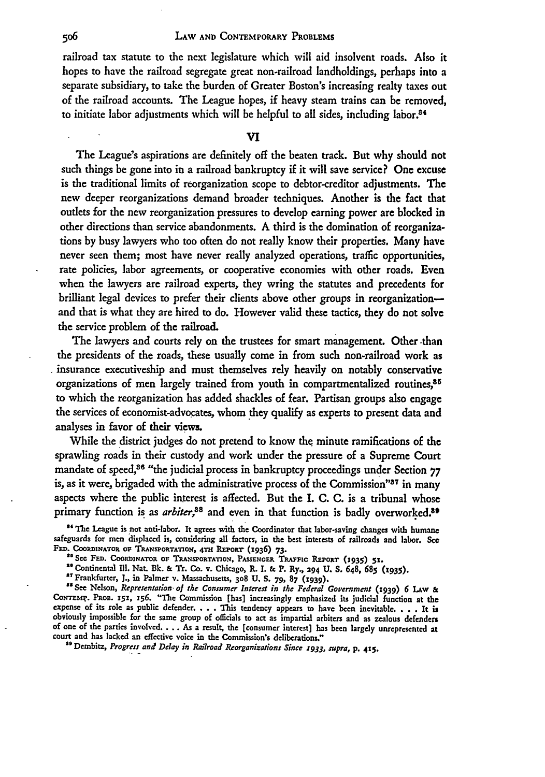railroad tax statute to the next legislature which will aid insolvent roads. Also it hopes to have the railroad segregate great non-railroad landholdings, perhaps into a separate subsidiary, to take the burden of Greater Boston's increasing realty taxes out of the railroad accounts. The League hopes, if heavy steam trains can be removed, to initiate labor adjustments which will be helpful to all sides, including labor.<sup>34</sup>

The League's aspirations are definitely off the beaten track. But why should not such things be gone into in a railroad bankruptcy if it will save service? One excuse is the traditional limits of reorganization scope to debtor-creditor adjustments. The new deeper reorganizations demand broader techniques. Another is the fact that outlets for the new reorganization pressures to develop earning power are blocked in other directions than service abandonments. A third is the domination of reorganizations **by** busy lawyers who too often do not really know their properties. Many have never seen them; most have never really analyzed operations, traffic opportunities, rate policies, labor agreements, or cooperative economies with other roads. Even when the lawyers are railroad experts, they wring the statutes and precedents for brilliant legal devices to prefer their clients above other groups in reorganizationand that is what they are hired to do. However valid these tactics, they do not solve the service problem of the railroad.

The lawyers and courts rely on the trustees for smart management. Other than the presidents of the roads, these usually come in from such non-railroad work as . insurance executiveship and must themselves rely heavily on notably conservative organizations of men largely trained from youth in compartmentalized routines,<sup>85</sup> to which the reorganization has added shackles of fear. Partisan groups also engage the services of economist-advocates, whom they qualify as experts to present data and analyses in favor of their views.

While the district judges do not pretend to know the minute ramifications of the sprawling roads in their custody and work under the pressure of a Supreme Court mandate of speed,<sup>36</sup> "the judicial process in bankruptcy proceedings under Section 77 is, as it were, brigaded with the administrative process of the Commission"<sup>37</sup> in many aspects where the public interest is affected. But the I. **C. C.** is a tribunal whose primary function is as *arbiter*,<sup>88</sup> and even in that function is badly overworked.<sup>89</sup>

<sup>84</sup> The League is not anti-labor. It agrees with the Coordinator that labor-saving changes with humane safeguards for men displaced is, considering **all** factors, in the best interests of railroads and labor. See **FED. COORDINATOR OF TRANSPORTATIOx, 4TH** REPoxr **(1936) 73.**

**'5See FEn. COORDINATOR** oF **TRA;sPoRTAno., PAssENoER TRAPFIc** RPoaT **(1935) 51.**

'Continental **I1l.** Nat. Bk. **&** Tr. Co. v. Chicago, **R.** I. **&** P. Ry., **294 U. S.** 648, *685* **(t935).**

**',** Frankfurter, J., in Palmer v. Massachusetts, **308 U. S. 79,** 87 **(1939).**

**"See** Nelson, *Representation, of the Consumer Interest in the Federal Government* **(1939) 6** *LAw* **&** CONTEMP. PROB. 151, 156. "The Commission [has] increasingly emphasized its judicial function at the expense of its role as public defender. .. . **This** tendency appears to have been inevitable. . **.** . **It is** obviously impossible for the same group of officials to act as impartial arbiters and as zealous defenders of one of the parties involved. . **..** As a result, the [consumer interest] has been largely unrepresented at court and has lacked an effective voice in the Commission's deliberations."

**so** Dembitz, *Progress and Delay in Railroad Reorganizations Since t933, supra, p. 415.*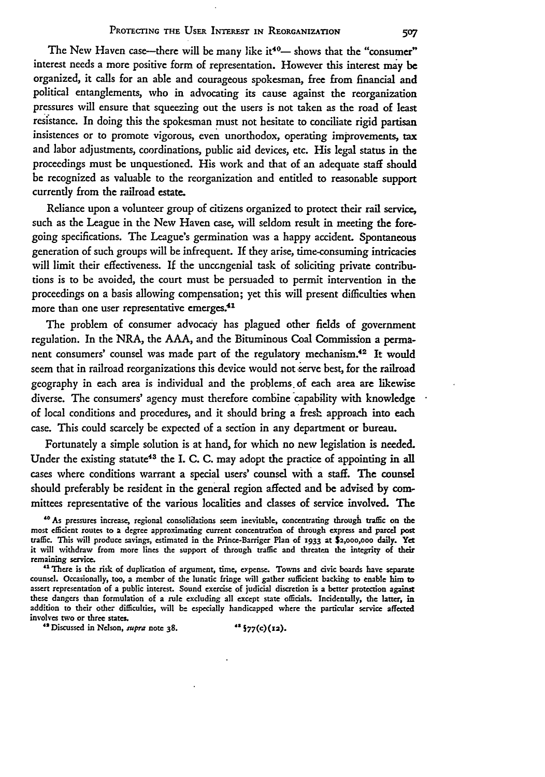The New Haven case--there will be many like it<sup>40</sup>- shows that the "consumer" interest needs a more positive form of representation. However this interest may be organized, it calls for an able and courageous spokesman, free from financial and political entanglements, who in advocating its cause against the reorganization pressures will ensure that squeezing out the users is not taken as the road of least resistance. In doing this the spokesman must not hesitate to conciliate rigid partisan insistences or to promote vigorous, even unorthodox, operating improvements, tax and labor adjustments, coordinations, public aid devices, etc. His legal status in the proceedings must be unquestioned. His work and that of an adequate staff should be recognized as valuable to the reorganization and entitled to reasonable support currently from the railroad estate.

Reliance upon a volunteer group of citizens organized to protect their rail service, such as the League in the New Haven case, will seldom result in meeting the foregoing specifications. The League's germination was a happy accident. Spontaneous generation of such groups will be infrequent. If they arise, time-consuming intricacies will limit their effectiveness. If the unccngenial task of soliciting private contributions is to be avoided, the court must be persuaded to permit intervention in the proceedings on a basis allowing compensation; yet this will present difficulties when more than one user representative emerges.<sup>41</sup>

The problem of consumer advocacy has plagued other fields of government regulation. In the NRA, the AAA, and the Bituminous Coal Commission a permanent consumers' counsel was made part of the regulatory mechanism.42 It would seem that in railroad reorganizations this device would not serve best, for the railroad geography in each area is individual and the problems, of each area are likewise diverse. The consumers' agency must therefore combine 'capability with knowledge of local conditions and procedures, and it should bring a fresh approach into each case. This could scarcely be expected of a section in any department or bureau.

Fortunately a simple solution is at hand, for which no new legislation is needed. Under the existing statute<sup>43</sup> the I. C. C. may adopt the practice of appointing in all cases where conditions warrant a special users' counsel with a staff. The counsel should preferably be resident in the general region affected and be advised by committees representative of the various localities and classes of service involved. The

" As pressures increase, regional consolidations seem inevitable, concentrating through traffic on the most efficient routes to a degree approximating current concentration of through express and parcel **post** traffic. This will produce savings, estimated in the Prince-Barriger Plan of **1933** at **\$2,000,000** daily. **Yet** it will withdraw from more lines the support of through traffic and threaten the integrity of their remaining service.

**" There** is the risk of duplication of argument, time, erpense. Towns and civic boards have separate counsel. Occasionally, too, a member of the lunatic fringe will gather sufficient backing to enable him to assert representation of a public interest. Sound exercise of judicial discretion is a better protection against these dangers than formulation of a rule excluding all except state officials. Incidentally, **the** latter, in addition to their other difficulties, will be especially handicapped where the particular service affected involves two or three **states.**

<sup>42</sup> Discussed in Nelson, *supra* note 38. <sup>42</sup> 577(c)(12).